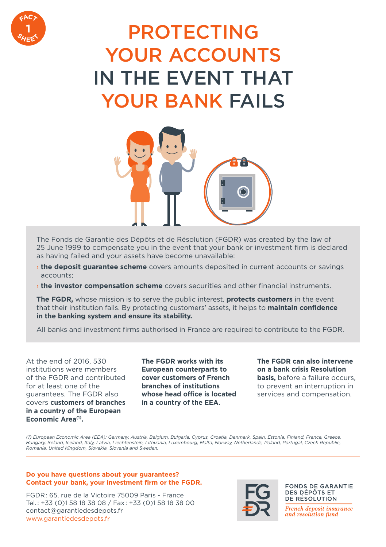

# PROTECTING YOUR ACCOUNTS IN THE EVENT THAT YOUR BANK FAILS



The Fonds de Garantie des Dépôts et de Résolution (FGDR) was created by the law of 25 June 1999 to compensate you in the event that your bank or investment firm is declared as having failed and your assets have become unavailable:

- › **the deposit guarantee scheme** covers amounts deposited in current accounts or savings accounts;
- › **the investor compensation scheme** covers securities and other financial instruments.

**The FGDR,** whose mission is to serve the public interest, **protects customers** in the event that their institution fails. By protecting customers' assets, it helps to **maintain confidence in the banking system and ensure its stability.**

All banks and investment firms authorised in France are required to contribute to the FGDR.

At the end of 2016, 530 institutions were members of the FGDR and contributed for at least one of the guarantees. The FGDR also covers **customers of branches in a country of the European**  Economic Area<sup>(1)</sup>.

**The FGDR works with its European counterparts to cover customers of French branches of institutions whose head office is located in a country of the EEA.**

### **The FGDR can also intervene on a bank crisis Resolution basis,** before a failure occurs, to prevent an interruption in

services and compensation.

*(1) European Economic Area (EEA): Germany, Austria, Belgium, Bulgaria, Cyprus, Croatia, Denmark, Spain, Estonia, Finland, France, Greece, Hungary, Ireland, Iceland, Italy, Latvia, Liechtenstein, Lithuania, Luxembourg, Malta, Norway, Netherlands, Poland, Portugal, Czech Republic, Romania, United Kingdom, Slovakia, Slovenia and Sweden.*

#### **Do you have questions about your guarantees? Contact your bank, your investment firm or the FGDR.**

FGDR : 65, rue de la Victoire 75009 Paris - France Tel. : +33 (0)1 58 18 38 08 / Fax : +33 (0)1 58 18 38 00 contact@garantiedesdepots.fr www.garantiedesdepots.fr



#### **FONDS DE GARANTIE DES DÉPÔTS ET** DE RÉSOLUTION

French deposit insurance and resolution fund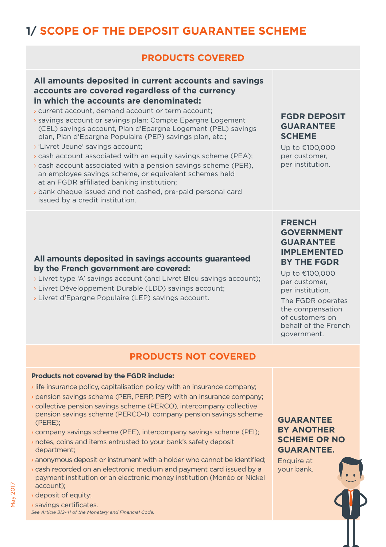# **1/ SCOPE OF THE DEPOSIT GUARANTEE SCHEME**

# **PRODUCTS COVERED**

### **All amounts deposited in current accounts and savings accounts are covered regardless of the currency in which the accounts are denominated:**

- › current account, demand account or term account;
- › savings account or savings plan: Compte Epargne Logement (CEL) savings account, Plan d'Epargne Logement (PEL) savings plan, Plan d'Epargne Populaire (PEP) savings plan, etc.;
- › 'Livret Jeune' savings account;
- › cash account associated with an equity savings scheme (PEA);
- › cash account associated with a pension savings scheme (PER), an employee savings scheme, or equivalent schemes held at an FGDR affiliated banking institution;
- › bank cheque issued and not cashed, pre-paid personal card issued by a credit institution.

### **All amounts deposited in savings accounts guaranteed by the French government are covered:**

- › Livret type 'A' savings account (and Livret Bleu savings account);
- › Livret Développement Durable (LDD) savings account;
- › Livret d'Epargne Populaire (LEP) savings account.

## **FGDR DEPOSIT GUARANTEE SCHEME**

Up to €100,000 per customer, per institution. 

### **FRENCH GOVERNMENT GUARANTEE IMPLEMENTED BY THE FGDR**

Up to €100,000 per customer, per institution.

The FGDR operates the compensation of customers on behalf of the French government.

# **PRODUCTS NOT COVERED**

#### **Products not covered by the FGDR include:**

- › life insurance policy, capitalisation policy with an insurance company;
- › pension savings scheme (PER, PERP, PEP) with an insurance company;
- › collective pension savings scheme (PERCO), intercompany collective pension savings scheme (PERCO-I), company pension savings scheme (PERE);
- › company savings scheme (PEE), intercompany savings scheme (PEI);
- › notes, coins and items entrusted to your bank's safety deposit department;
- › anonymous deposit or instrument with a holder who cannot be identified;
- › cash recorded on an electronic medium and payment card issued by a payment institution or an electronic money institution (Monéo or Nickel account);
- › deposit of equity;
- › savings certificates. *See Article 312-41 of the Monetary and Financial Code.*

## **GUARANTEE BY ANOTHER SCHEME OR NO GUARANTEE.**

Enquire at your bank.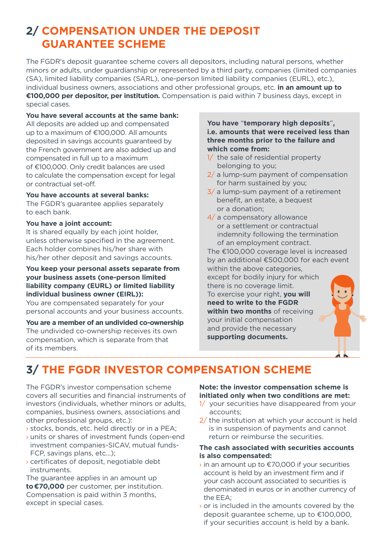# **2/ COMPENSATION UNDER THE DEPOSIT GUARANTEE SCHEME**

The FGDR's deposit guarantee scheme covers all depositors, including natural persons, whether minors or adults, under guardianship or represented by a third party, companies (limited companies (SA), limited liability companies (SARL), one-person limited liability companies (EURL), etc.), individual business owners, associations and other professional groups, etc. **in an amount up to €100,000 per depositor, per institution.** Compensation is paid within 7 business days, except in special cases.

**You have several accounts at the same bank:**

All deposits are added up and compensated up to a maximum of €100,000. All amounts deposited in savings accounts guaranteed by the French government are also added up and compensated in full up to a maximum of €100,000. Only credit balances are used to calculate the compensation except for legal or contractual set-off.

#### **You have accounts at several banks:**

The FGDR's quarantee applies separately to each bank.

#### **You have a joint account:**

It is shared equally by each joint holder, unless otherwise specified in the agreement. Each holder combines his/her share with his/her other deposit and savings accounts.

#### **You keep your personal assets separate from your business assets (one-person limited liability company (EURL) or limited liability individual business owner (EIRL)):**

You are compensated separately for your personal accounts and your business accounts.

**You are a member of an undivided co-ownership**  The undivided co-ownership receives its own compensation, which is separate from that of its members.

#### **You have** "**temporary high deposits**"**, i.e. amounts that were received less than three months prior to the failure and which come from:**

- 1/ the sale of residential property belonging to you;
- 2/ a lump-sum payment of compensation for harm sustained by you;
- 3/ a lump-sum payment of a retirement benefit, an estate, a bequest or a donation;
- 4/ a compensatory allowance or a settlement or contractual indemnity following the termination of an employment contract.

The €100,000 coverage level is increased by an additional €500,000 for each event within the above categories,

except for bodily injury for which there is no coverage limit.

To exercise your right, **you will need to write to the FGDR within two months** of receiving your initial compensation and provide the necessary **supporting documents.** 

# **3/ THE FGDR INVESTOR COMPENSATION SCHEME**

The FGDR's investor compensation scheme covers all securities and financial instruments of investors (individuals, whether minors or adults, companies, business owners, associations and other professional groups, etc.):

- › stocks, bonds, etc. held directly or in a PEA;
- › units or shares of investment funds (open-end investment companies-SICAV, mutual funds-FCP, savings plans, etc…);
- › certificates of deposit, negotiable debt instruments.

The guarantee applies in an amount up **to€70,000** per customer, per institution. Compensation is paid within 3 months, except in special cases.

#### **Note: the investor compensation scheme is initiated only when two conditions are met:**

- 1/ your securities have disappeared from your accounts;
- 2/ the institution at which your account is held is in suspension of payments and cannot return or reimburse the securities.

#### **The cash associated with securities accounts is also compensated:**

- › in an amount up to €70,000 if your securities account is held by an investment firm and if your cash account associated to securities is denominated in euros or in another currency of the EEA;
- › or is included in the amounts covered by the deposit guarantee scheme, up to €100,000, if your securities account is held by a bank.